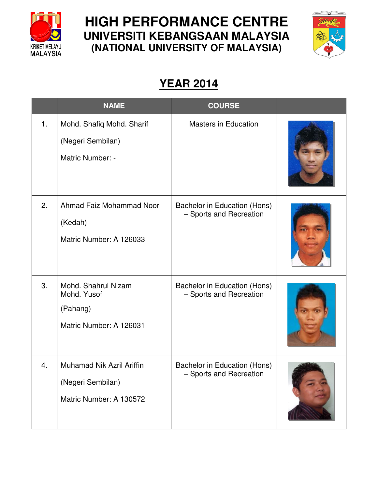

## **HIGH PERFORMANCE CENTRE UNIVERSITI KEBANGSAAN MALAYSIA (NATIONAL UNIVERSITY OF MALAYSIA)**



## **YEAR 2014**

|    | <b>NAME</b>                                                               | <b>COURSE</b>                                           |  |
|----|---------------------------------------------------------------------------|---------------------------------------------------------|--|
| 1. | Mohd. Shafiq Mohd. Sharif<br>(Negeri Sembilan)<br>Matric Number: -        | <b>Masters in Education</b>                             |  |
| 2. | Ahmad Faiz Mohammad Noor<br>(Kedah)<br>Matric Number: A 126033            | Bachelor in Education (Hons)<br>- Sports and Recreation |  |
| 3. | Mohd. Shahrul Nizam<br>Mohd. Yusof<br>(Pahang)<br>Matric Number: A 126031 | Bachelor in Education (Hons)<br>- Sports and Recreation |  |
| 4. | Muhamad Nik Azril Ariffin<br>(Negeri Sembilan)<br>Matric Number: A 130572 | Bachelor in Education (Hons)<br>- Sports and Recreation |  |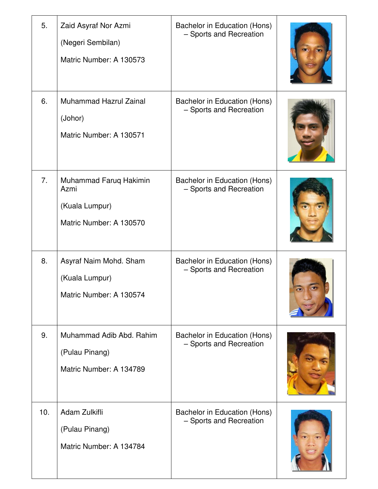| 5.             | Zaid Asyraf Nor Azmi<br>(Negeri Sembilan)<br>Matric Number: A 130573        | Bachelor in Education (Hons)<br>- Sports and Recreation |  |
|----------------|-----------------------------------------------------------------------------|---------------------------------------------------------|--|
| 6.             | <b>Muhammad Hazrul Zainal</b><br>(Johor)<br>Matric Number: A 130571         | Bachelor in Education (Hons)<br>- Sports and Recreation |  |
| 7 <sub>1</sub> | Muhammad Faruq Hakimin<br>Azmi<br>(Kuala Lumpur)<br>Matric Number: A 130570 | Bachelor in Education (Hons)<br>- Sports and Recreation |  |
| 8.             | Asyraf Naim Mohd. Sham<br>(Kuala Lumpur)<br>Matric Number: A 130574         | Bachelor in Education (Hons)<br>- Sports and Recreation |  |
| 9.             | Muhammad Adib Abd. Rahim<br>(Pulau Pinang)<br>Matric Number: A 134789       | Bachelor in Education (Hons)<br>- Sports and Recreation |  |
| 10.            | Adam Zulkifli<br>(Pulau Pinang)<br>Matric Number: A 134784                  | Bachelor in Education (Hons)<br>- Sports and Recreation |  |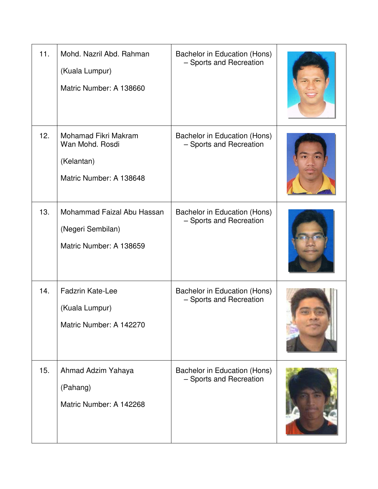| 11. | Mohd. Nazril Abd. Rahman<br>(Kuala Lumpur)<br>Matric Number: A 138660            | Bachelor in Education (Hons)<br>- Sports and Recreation |  |
|-----|----------------------------------------------------------------------------------|---------------------------------------------------------|--|
| 12. | Mohamad Fikri Makram<br>Wan Mohd, Rosdi<br>(Kelantan)<br>Matric Number: A 138648 | Bachelor in Education (Hons)<br>- Sports and Recreation |  |
| 13. | Mohammad Faizal Abu Hassan<br>(Negeri Sembilan)<br>Matric Number: A 138659       | Bachelor in Education (Hons)<br>- Sports and Recreation |  |
| 14. | <b>Fadzrin Kate-Lee</b><br>(Kuala Lumpur)<br>Matric Number: A 142270             | Bachelor in Education (Hons)<br>- Sports and Recreation |  |
| 15. | Ahmad Adzim Yahaya<br>(Pahang)<br>Matric Number: A 142268                        | Bachelor in Education (Hons)<br>- Sports and Recreation |  |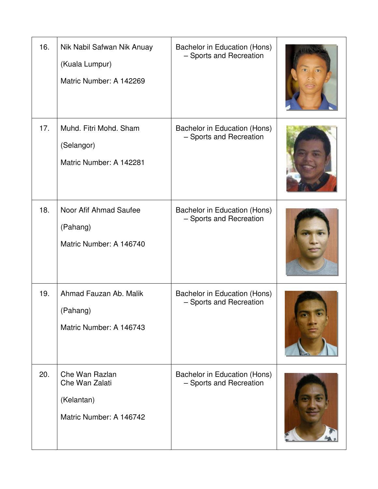| 16. | Nik Nabil Safwan Nik Anuay<br>(Kuala Lumpur)<br>Matric Number: A 142269   | Bachelor in Education (Hons)<br>- Sports and Recreation |  |
|-----|---------------------------------------------------------------------------|---------------------------------------------------------|--|
| 17. | Muhd. Fitri Mohd. Sham<br>(Selangor)<br>Matric Number: A 142281           | Bachelor in Education (Hons)<br>- Sports and Recreation |  |
| 18. | Noor Afif Ahmad Saufee<br>(Pahang)<br>Matric Number: A 146740             | Bachelor in Education (Hons)<br>- Sports and Recreation |  |
| 19. | Ahmad Fauzan Ab. Malik<br>(Pahang)<br>Matric Number: A 146743             | Bachelor in Education (Hons)<br>- Sports and Recreation |  |
| 20. | Che Wan Razlan<br>Che Wan Zalati<br>(Kelantan)<br>Matric Number: A 146742 | Bachelor in Education (Hons)<br>- Sports and Recreation |  |